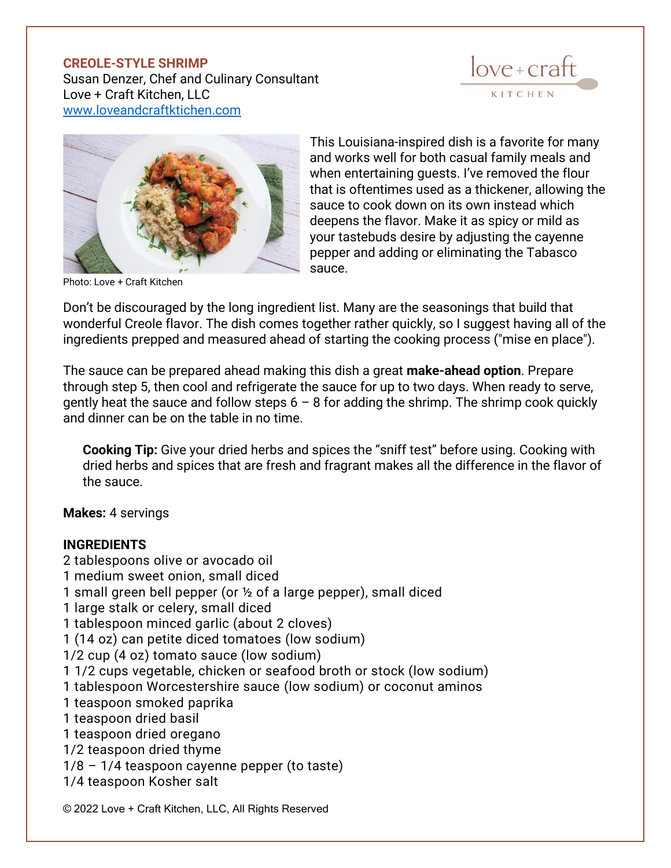## **CREOLE-STYLE SHRIMP**

Susan Denzer, Chef and Culinary Consultant Love + Craft Kitchen, LLC [www.loveandcraftktichen.com](http://www.loveandcraftktichen.com/)





Photo: Love + Craft Kitchen

This Louisiana-inspired dish is a favorite for many and works well for both casual family meals and when entertaining guests. I've removed the flour that is oftentimes used as a thickener, allowing the sauce to cook down on its own instead which deepens the flavor. Make it as spicy or mild as your tastebuds desire by adjusting the cayenne pepper and adding or eliminating the Tabasco sauce.

Don't be discouraged by the long ingredient list. Many are the seasonings that build that wonderful Creole flavor. The dish comes together rather quickly, so I suggest having all of the ingredients prepped and measured ahead of starting the cooking process ("mise en place").

The sauce can be prepared ahead making this dish a great **make-ahead option**. Prepare through step 5, then cool and refrigerate the sauce for up to two days. When ready to serve, gently heat the sauce and follow steps  $6 - 8$  for adding the shrimp. The shrimp cook quickly and dinner can be on the table in no time.

**Cooking Tip:** Give your dried herbs and spices the "sniff test" before using. Cooking with dried herbs and spices that are fresh and fragrant makes all the difference in the flavor of the sauce.

**Makes:** 4 servings

## **INGREDIENTS**

- 2 tablespoons olive or avocado oil
- 1 medium sweet onion, small diced
- 1 small green bell pepper (or ½ of a large pepper), small diced
- 1 large stalk or celery, small diced
- 1 tablespoon minced garlic (about 2 cloves)
- 1 (14 oz) can petite diced tomatoes (low sodium)
- 1/2 cup (4 oz) tomato sauce (low sodium)
- 1 1/2 cups vegetable, chicken or seafood broth or stock (low sodium)
- 1 tablespoon Worcestershire sauce (low sodium) or coconut aminos
- 1 teaspoon smoked paprika
- 1 teaspoon dried basil
- 1 teaspoon dried oregano
- 1/2 teaspoon dried thyme
- 1/8 1/4 teaspoon cayenne pepper (to taste)
- 1/4 teaspoon Kosher salt

© 2022 Love + Craft Kitchen, LLC, All Rights Reserved